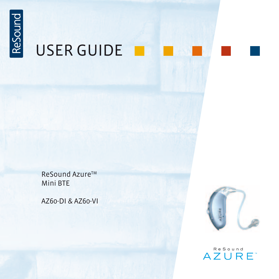

# USER GUIDE

ReSound Azure™ Mini BTE

AZ60-DI & AZ60-VI



ReSound **AZURE**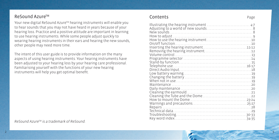### ReSound AzureTM

Your new digital ReSound Azure™ hearing instruments will enable you to hear sounds that you may not have heard in years because of your hearing loss. Practice and a positive attitude are important in learning to use hearing instruments. While some people adjust quickly to wearing hearing instruments in their ears and hearing the new sounds, other people may need more time.

The intent of this user guide is to provide information on the many aspects of using hearing instruments. Your hearing instruments have been adjusted to your hearing loss by your hearing care professional. Familiarising yourself with the functions of your new hearing instruments will help you get optimal benefit.

*ReSound AzureTM is a trademark of ReSound.*

### Contents Page

| Inserting the hearing instrument11-12 |  |
|---------------------------------------|--|
|                                       |  |
|                                       |  |
|                                       |  |
|                                       |  |
|                                       |  |
|                                       |  |
|                                       |  |
|                                       |  |
|                                       |  |
|                                       |  |
|                                       |  |
|                                       |  |
|                                       |  |
|                                       |  |
|                                       |  |
|                                       |  |
|                                       |  |
|                                       |  |
|                                       |  |
|                                       |  |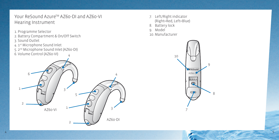## Your ReSound Azure™ A760-DI and A760-VI Hearing Instrument

- 1. Programme Selector
- 2. Battery Compartment & On/Off Switch
- 3. Sound Outlet
- 4. 1st Microphone Sound Inlet
- 5. 2nd Microphone Sound Inlet (AZ60-DI) 6. Volume Control (AZ60-VI) 4



- 7. Left/Right indicator (Right=Red, Left=Blue) 8. Battery lock
- 9. Model
- 10. Manufacturer

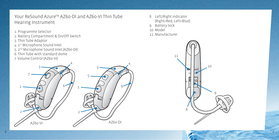## Your ReSound Azure™ AZ60-DI and AZ60-VI Thin Tube Hearing Instrument

- 1. Programme Selector
- 2. Battery Compartment & On/Off Switch
- 3. Thin Tube Adaptor
- 4. 1st Microphone Sound Inlet
- 5. 2nd Microphone Sound Inlet (AZ60-DI)
- 6. Thin Tube with standard dome
- 7. Volume Control (AZ60-VI)



8. Left/Right indicator (Right=Red, Left=Blue) 9. Battery lock 10. Model 11. Manufacturer

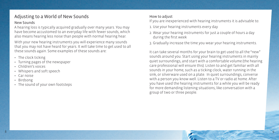## Adjusting to a World of New Sounds

#### New Sounds

A hearing loss is typically acquired gradually over many years. You may have become accustomed to an everyday life with fewer sounds, which also means hearing less noise than people with normal hearing hear.

With your new hearing instruments you will experience many sounds that you may not have heard for years. It will take time to get used to all these sounds again. Some examples of these sounds are:

- The clock ticking
- Turning pages of the newspaper
- Children's voices
- Whispers and soft speech
- Car noise
- Birdsong
- The sound of your own footsteps

#### How to adjust

If you are inexperienced with hearing instruments it is advisable to:

- 1. Use your hearing instruments every day
- 2. Wear your hearing instruments for just a couple of hours a day during the first week
- 3. Gradually increase the time you wear your hearing instruments.

It can take several months for your brain to get used to all the "new" sounds around you. Start using your hearing instruments in mainly quiet surroundings, and start with a comfortable volume (the hearing care professional will ensure this). Listen to and get familiar with all sounds in your home, such as a ticking clock, water running in the sink, or silverware used on a plate. In quiet surroundings, converse with a person you know well. Listen to a TV or radio at home. After you have used the hearing instruments for a while you will be ready for more demanding listening situations, like conversation with a group of two or three people.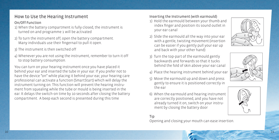### How to Use the Hearing Instrument

### On/Off Function

- 1) When the battery compartment is fully closed, the instrument is turned on and programme 1 will be activated
- 2) To turn the instrument off, open the battery compartment. Many individuals use their fingernail to pull it open.
- 3) The instrument is then switched off
- 4) Whenever you are not using the instrument, remember to turn it off to stop battery consumption.

You can turn on your hearing instrument once you have placed it behind your ear and inserted the tube in your ear. If you prefer not to have the device "on" while placing it behind your ear, your hearing care professional can activate a function (SmartStart) which will delay the instrument turning on. This function will prevent the hearing instru ment from squealing while the tube or mould is being inserted in the ear. It delays the switch-on time by 10 seconds after closing the battery compartment. A beep each second is presented during this time

#### Inserting the Instrument (with earmould)

- 1) Hold the earmould between your thumb and index finger and position its sound outlet in your ear canal
- 2) Slide the earmould all the way into your ear with a gentle, twisting movement (insertion can be easier if you gently pull your ear up and back with your other hand)
- 3) Turn the top-part of the earmould gently backwards and forwards so that it tucks behind the fold of skin above your ear canal
- 4) Place the hearing instrument behind your ear
- 5) Move the earmould up and down and press gently to ensure it is positioned correctly in the ear
- 6) When the earmould and hearing instrument are correctly positioned, and you have not already turned it on, switch on your instru ment by closing the battery door

#### Tip

Opening and closing your mouth can ease insertion.



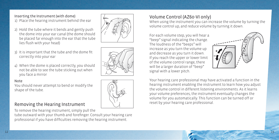## Inserting the Instrument (with dome)

1) Place the hearing instrument behind the ear

- 2) Hold the tube where it bends and gently push the dome into your ear canal (the dome should be placed far enough into the ear that the tube lies flush with your head)
- 3) It is important that the tube and the dome fit correctly into your ear
- 4) When the dome is placed correctly, you should not be able to see the tube sticking out when you face a mirror

#### Note

You should never attempt to bend or modify the shape of the tube.

### Removing the Hearing Instrument

To remove the hearing instrument, simply pull the

tube outward with your thumb and forefinger. Consult your hearing care professional if you have difficulties removing the hearing instrument.

## Volume Control (AZ60-VI only)

When using the instrument you can increase the volume by turning the volume control up, and reduce volume by turning it down.

For each volume step, you will hear a "beep" signal indicating the change. The loudness of the "beeps" will increase as you turn the volume up and decrease as you turn it down. If you reach the upper or lower limit of the volume control range, there will be a larger duration of "beep" signal with a lower pitch.



Your hearing care professional may have activated a function in the hearing instrument enabling the instrument to learn how you adjust the volume control in different listening environments. As it learns your volume preferences, the instrument eventually changes the volume for you automatically. This function can be turned off or reset by your hearing care professional.

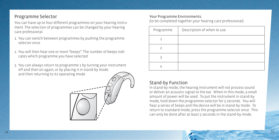### Programme Selector

You can have up to four different programmes on your hearing instrument. The selection of programmes can be changed by your hearing care professional.

- 1. You can switch between programmes by pushing the programme selector once
- 2. You will then hear one or more "beeps". The number of beeps indicates which programme you have selected
- 3. You can always return to programme 1 by turning your instrument off and then on again, or by placing it in stand-by mode and then returning to its operating mode



#### Your Programme Environments:

(to be completed together your hearing care professional):

| Programme | Description of when to use |
|-----------|----------------------------|
|           |                            |
|           |                            |
|           |                            |
|           |                            |

### Stand-by Function

In stand-by mode, the hearing instrument will not process sound or deliver an acoustic signal to the ear. When in this mode, a small amount of power will be used. To put the instrument in stand-by mode, hold down the programme selector for 5 seconds. You will hear a series of beeps and the device will be in stand-by mode. To return to standard mode, press the programme selector once. This can only be done after at least 5 seconds in the stand-by mode.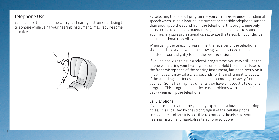### Telephone Use

Your can use the telephone with your hearing instruments. Using the telephone while using your hearing instruments may require some practice.



By selecting the telecoil programme you can improve understanding of speech when using a hearing instrument compatible telephone. Rather than picking up the sound from the telephone, this programme only picks up the telephone's magnetic signal and converts it to sound. Your hearing care professional can activate the telecoil, if your device has the optional telecoil available.

When using the telecoil programme, the receiver of the telephone should be held as shown in the drawing. You may need to move the handset around slightly to find the best reception.

If you do not wish to have a telecoil programme, you may still use the phone while using your hearing instrument. Hold the phone close to the front microphone of the hearing instrument, but not directly on it. If it whistles, it may take a few seconds for the instrument to adapt. If the whistling continues, move the telephone 2-3 cm away from your ear. Some hearing instruments also have an acoustic telephone program. This program might decrease problems with acoustic feedback when using the telephone

#### Cellular phone

If you use a cellular phone you may experience a buzzing or clicking noise. This is caused by the strong signal of the cellular phone. To solve the problem it is possible to connect a headset to your hearing instrument (hands-free telephone solution).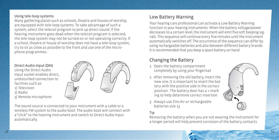#### Using tele-loop systems

Many gathering places such as schools, theatre and houses of worship, are equipped with tele-loop systems. To take advantage of such a system, select the telecoil program to pick up direct sound. If the hearing instrument goes dead when the telecoil program is selected, the tele-loop system may not be turned on or not operating correctly. If a school, theatre or house of worship does not have a tele-loop system, try to sit as close as possible to the front and use one of the microphone programmes.



The sound source is connected to your instrument with a cable or a wireless FM system to the audio boot. The audio boot will connect with a "click" to the hearing instrument and switch to Direct Audio Input automatically.

## Low Battery Warning

Your hearing care professional can activate a Low Battery Warning function in your hearing instruments. When the battery voltage/power decreases to a certain level, the instrument will emit five soft beeping signals. This sequence will continue every five minutes until the instrument automatically switches off. The occurrence of the sequence can differ by using rechargeable batteries and also between different battery brands. It is recommended that you keep a spare battery on hand.

## Changing the Battery

- 1. Open the battery compartment completely by using your fingernail
- 2. After removing the old battery, insert the new one. It is important to insert the battery with the positive side in the correct position. The battery door has a + marking to help determine correct insertion.
- 3. Always use Zinc-Air or rechargeable batteries size 13

### Tip

Removing the battery when you are not wearing the instrument for a longer period will help prevent corrosion of the battery contacts.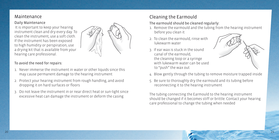### Maintenance

#### Daily Maintenance

 It is important to keep your hearing instrument clean and dry every day. To clean the instrument, use a soft cloth. If the instrument has been exposed to high humidity or perspiration, use a drying kit that is available from your hearing care professional.



- 1. Never immerse the instrument in water or other liquids since this may cause permanent damage to the hearing instrument
- 2. Protect your hearing instrument from rough handling, and avoid dropping it on hard surfaces or floors
- 3. Do not leave the instrument in or near direct heat or sun-light since excessive heat can damage the instrument or deform the casing

## Cleaning the Earmould

#### The earmould should be cleaned regularly:

- 1. Remove the earmould and the tubing from the hearing instrument before you clean it
- 2. To clean the earmould, rinse with lukewarm water
- 3. If ear wax is stuck in the sound canal of the earmould, the cleaning loop or a syringe with lukewarm water can be used to "push" the wax out



- 4. Blow gently through the tubing to remove moisture trapped inside
- 5. Be sure to thoroughly dry the earmould and its tubing before reconnecting it to the hearing instrument

The tubing connecting the Earmould to the hearing instrument should be changed if it becomes stiff or brittle. Contact your hearing care professional to change the tubing when needed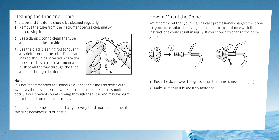## Cleaning the Tube and Dome

The tube and the dome should be cleaned regularly:

- 1. Remove the tube from the instrument before cleaning by unscrewing it
- 2. Use a damp cloth to clean the tube and dome on the outside
- 3. Use the black cleaning rod to "push" any debris out of the tube. The cleaning rod should be inserted where the tube attaches to the instrument and pushed all the way through the tube and out through the dome



#### Note!

It is not recommended to submerge or rinse the tube and dome with water, as there is a risk that water can close the tube. If this should occur, it will prevent sound coming through the tube, and may be harmful for the instrument's electronics.

The tube and dome should be changed every third month or sooner if the tube becomes stiff or brittle.

## How to Mount the Dome

We recommend that your hearing care professional changes the dome for you, since failure to change the domes in accordance with the instructions could result in injury. If you choose to change the dome yourself:



- 1. Push the dome over the grooves on the tube to mount it  $(1) + (2)$
- 2. Make sure that it is securely fastened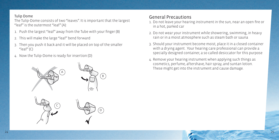#### Tulip Dome

The Tulip-Dome consists of two "leaves". It is important that the largest "leaf" is the outermost "leaf" (A):

- 1. Push the largest "leaf" away from the Tube with your finger (B)
- 2. This will make the large "leaf" bend forward
- 3. Then you push it back and it will be placed on top of the smaller " $leaf"$  $(C)$
- 4. Now the Tulip-Dome is ready for insertion (D)



## General Precautions

- 1. Do not leave your hearing instrument in the sun, near an open fire or in a hot, parked car
- 2. Do not wear your instrument while showering, swimming, in heavy rain or in a moist atmosphere such as steam bath or sauna
- 3. Should your instrument become moist, place it in a closed container with a drying agent . Your hearing care professional can provide a specially designed container, a so called desiccator for this purpose
- 4. Remove your hearing instrument when applying such things as cosmetics, perfume, aftershave, hair spray, and suntan lotion. These might get into the instrument and cause damage.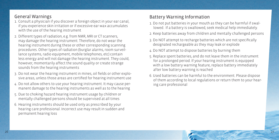### General Warnings

- 1. Consult a physician if you discover a foreign object in your ear canal, if you experience skin irritation or if excessive ear wax accumulates with the use of the hearing instrument
- 2. Different types of radiation, e.g. from NMR, MRI or CT scanners, may damage the hearing instrument. Therefore, do not wear the hearing instrument during these or other corresponding scanning procedures. Other types of radiation (burglar alarms, room surveillance systems, radio equipment, mobile telephones, etc) contain less energy and will not damage the hearing instrument. They could, however, momentarily affect the sound quality or create strange sounds from the hearing instruments
- 3. Do not wear the hearing instrument in mines, oil fields or other explosive areas, unless those areas are certified for hearing instrument use
- 4. Do not allow others to use your hearing instrument. It may cause permanent damage to the hearing instruments as well as to the hearing
- 5. Due to choking hazard hearing instrument usage by children or mentally challenged persons should be supervised at all times
- 6. Hearing instruments should be used only as prescribed by your hearing care professional. Incorrect use may result in sudden and permanent hearing loss

## Battery Warning Information

- 1. Do not put batteries in your mouth as they can be harmful if swallowed. If a battery is swallowed, seek medical help immediately.
- 2. Keep batteries away from children and mentally challenged persons
- 3. Do NOT attempt to recharge batteries which are not specifically designated rechargeable as they may leak or explode
- 4. Do NOT attempt to dispose batteries by burning them
- 5. Replace spent batteries, and do not leave them in the instrument for a prolonged period. If your hearing instrument is equipped with a low battery warning feature, replace battery immediately after low battery warning is reached
- 6. Used batteries can be harmful to the environment. Please dispose of them according to local regulations or return them to your hearing care professional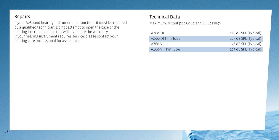### Repairs

If your ReSound hearing instrument malfunctions it must be repaired by a qualified technician. Do not attempt to open the case of the hearing instrument since this will invalidate the warranty. If your hearing instrument requires service, please contact your hearing care professional for assistance.

### Technical Data

Maximum Output (2cc Coupler / IEC 60118-7)

| $A760 - D1$       | 126 dB SPL (Typical) |
|-------------------|----------------------|
| AZ60-DI Thin Tube | 127 dB SPL (Typical) |
| $A760-VL$         | 126 dB SPL (Typical) |
| AZ60-VI Thin Tube | 127 dB SPL (Typical) |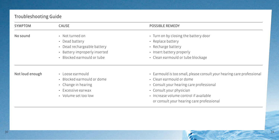### Troubleshooting Guide

| SYMPTOM  | CAUSE                                                                                                                           | <b>POSSIBLE REMEDY</b>                                                                                                                             |  |
|----------|---------------------------------------------------------------------------------------------------------------------------------|----------------------------------------------------------------------------------------------------------------------------------------------------|--|
| No sound | • Not turned on<br>• Dead battery<br>• Dead rechargeable battery<br>• Battery improperly inserted<br>· Blocked earmould or tube | • Turn on by closing the battery door<br>• Replace battery<br>• Recharge battery<br>• Insert battery properly<br>• Clean earmould or tube blockage |  |

- Not loud enough Loose earmould
	- Blocked earmould or dome
	- Change in hearing
	- Excessive earwax
	- Volume set too low
- Earmould is too small, please consult your hearing care professional
- Clean earmould or dome
- Consult your hearing care professional
- Consult your physician
- Increase volume control if available or consult your hearing care professional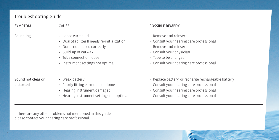## Troubleshooting Guide

| <b>SYMPTOM</b>                  | CAUSE                                                                                                                                                                                   | <b>POSSIBLE REMEDY</b>                                                                                                                                                                     |
|---------------------------------|-----------------------------------------------------------------------------------------------------------------------------------------------------------------------------------------|--------------------------------------------------------------------------------------------------------------------------------------------------------------------------------------------|
| Squealing                       | • Loose earmould<br>• Dual Stabilizer II needs re-initialization<br>• Dome not placed correctly<br>• Build-up of earwax<br>• Tube connection loose<br>• Instrument settings not optimal | • Remove and reinsert<br>• Consult your hearing care professional<br>• Remove and reinsert<br>• Consult your physician<br>• Tube to be changed<br>• Consult your hearing care professional |
| Sound not clear or<br>distorted | • Weak battery<br>• Poorly fitting earmould or dome<br>• Hearing instrument damaged<br>• Hearing instrument settings not optimal                                                        | • Replace battery, or recharge rechargeable battery<br>• Consult your hearing care professional<br>• Consult your hearing care professional<br>• Consult your hearing care professional    |

If there are any other problems not mentioned in this guide, please contact your hearing care professional.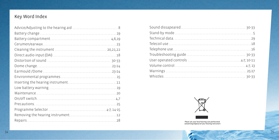## Key Word Index



Please ask your local hearing care professional<br>concerning disposal of your hearing instrument